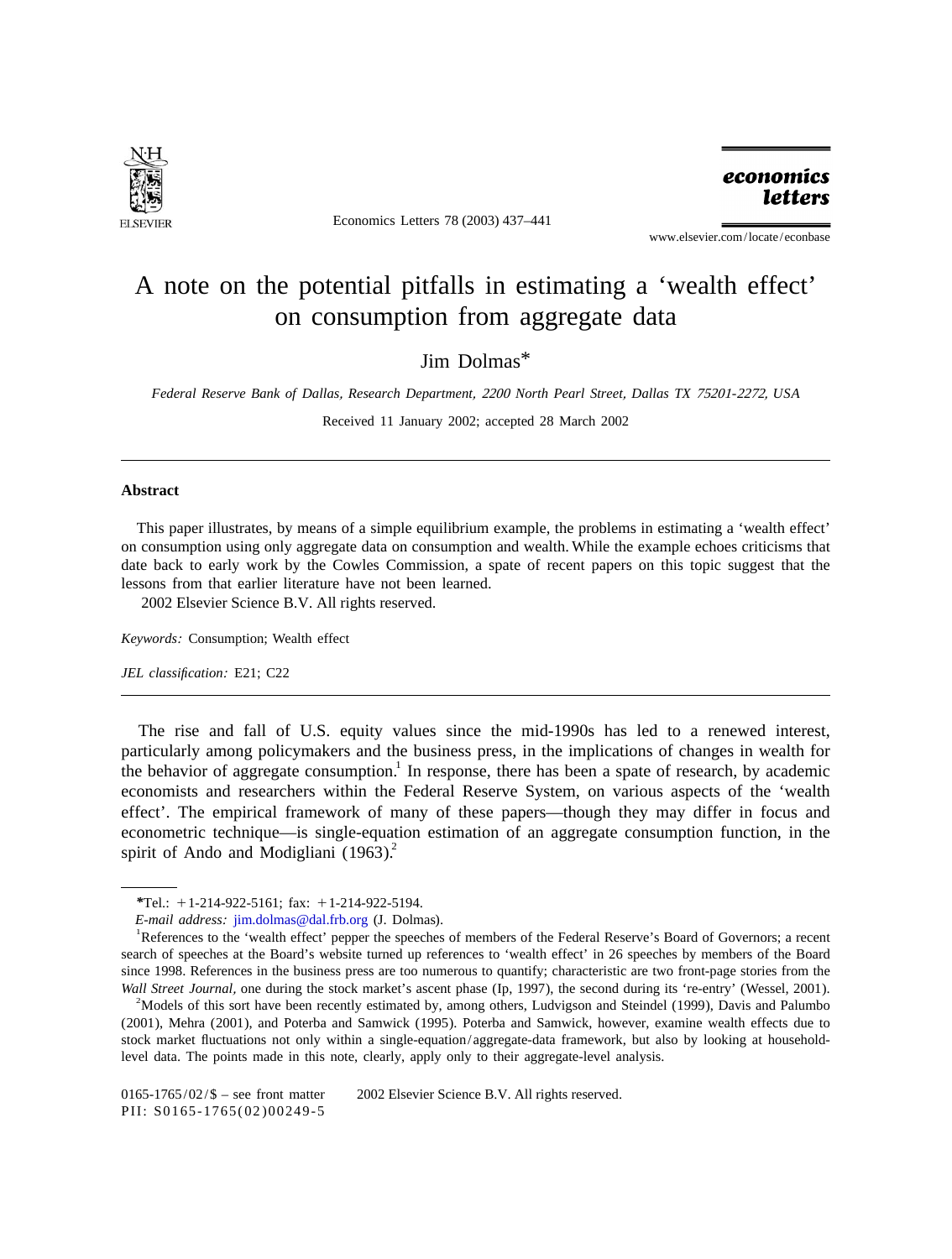

Economics Letters 78 (2003) 437–441

economics **letters** 

www.elsevier.com/locate/econbase

## A note on the potential pitfalls in estimating a 'wealth effect' on consumption from aggregate data

Jim Dolmas\*

*Federal Reserve Bank of Dallas*, *Research Department*, <sup>2200</sup> *North Pearl Street*, *Dallas TX* <sup>75201</sup>-2272, *USA*

Received 11 January 2002; accepted 28 March 2002

## **Abstract**

This paper illustrates, by means of a simple equilibrium example, the problems in estimating a 'wealth effect' on consumption using only aggregate data on consumption and wealth. While the example echoes criticisms that date back to early work by the Cowles Commission, a spate of recent papers on this topic suggest that the lessons from that earlier literature have not been learned. 2002 Elsevier Science B.V. All rights reserved.

*Keywords*: Consumption; Wealth effect

*JEL classification*: E21; C22

The rise and fall of U.S. equity values since the mid-1990s has led to a renewed interest, particularly among policymakers and the business press, in the implications of changes in wealth for the behavior of aggregate consumption.<sup>1</sup> In response, there has been a spate of research, by academic economists and researchers within the Federal Reserve System, on various aspects of the 'wealth effect'. The empirical framework of many of these papers—though they may differ in focus and econometric technique—is single-equation estimation of an aggregate consumption function, in the spirit of Ando and Modigliani  $(1963)^2$ .

 $^{4}$ Models of this sort have been recently estimated by, among others, Ludvigson and Steindel (1999), Davis and Palumbo (2001), Mehra (2001), and Poterba and Samwick (1995). Poterba and Samwick, however, examine wealth effects due to stock market fluctuations not only within a single-equation/aggregate-data framework, but also by looking at householdlevel data. The points made in this note, clearly, apply only to their aggregate-level analysis.

*<sup>\*</sup>*Tel.: 11-214-922-5161; fax: 11-214-922-5194.

*<sup>E</sup>*-*mail address*: [jim.dolmas@dal.frb.org](mailto:jim.dolmas@dal.frb.org) (J. Dolmas). <sup>1</sup>

References to the 'wealth effect' pepper the speeches of members of the Federal Reserve's Board of Governors; a recent search of speeches at the Board's website turned up references to 'wealth effect' in 26 speeches by members of the Board since 1998. References in the business press are too numerous to quantify; characteristic are two front-page stories from the *Wall Street Journal*, one during the stock market's ascent phase (Ip, 1997), the second during its 're-entry' (Wessel, 2001).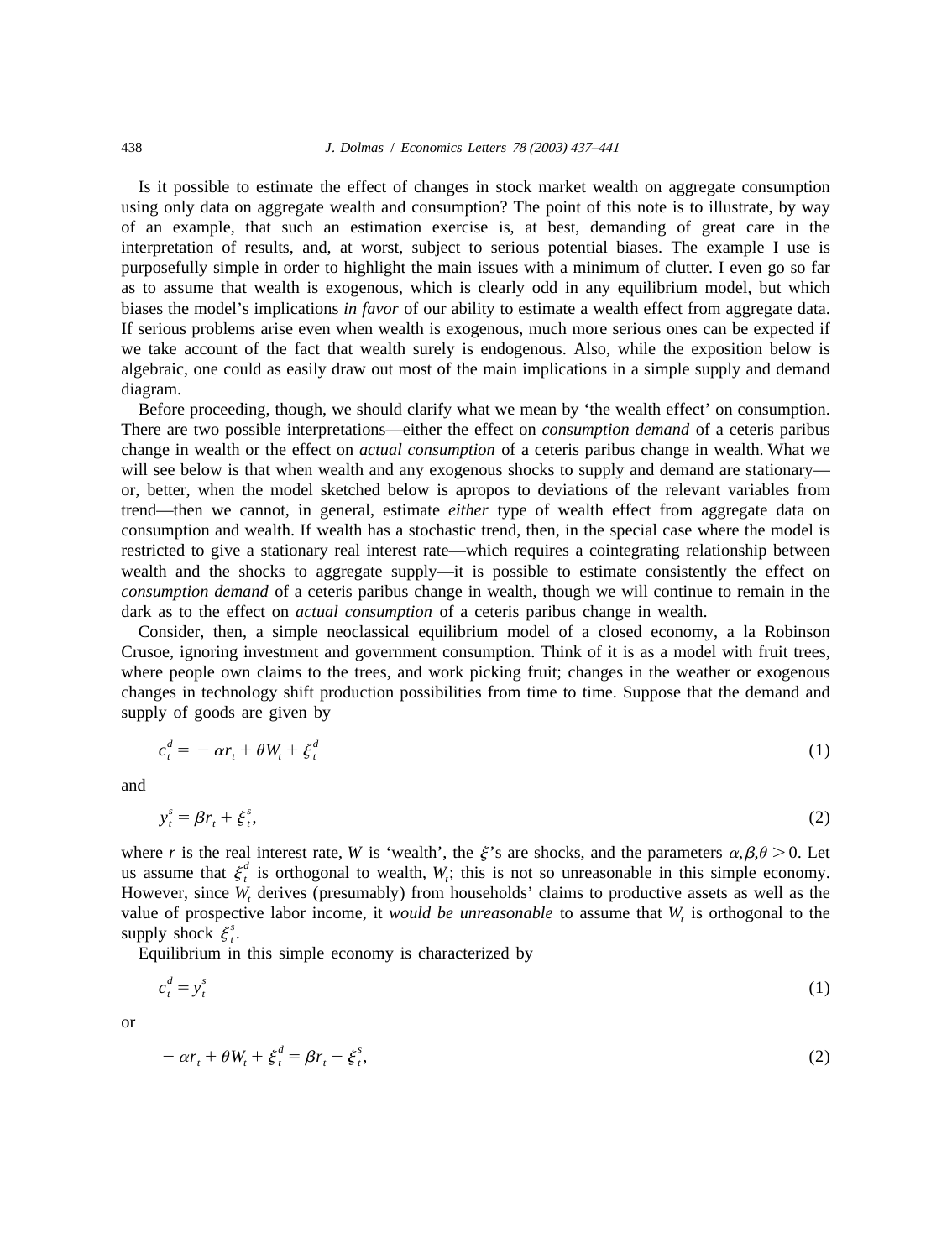Is it possible to estimate the effect of changes in stock market wealth on aggregate consumption using only data on aggregate wealth and consumption? The point of this note is to illustrate, by way of an example, that such an estimation exercise is, at best, demanding of great care in the interpretation of results, and, at worst, subject to serious potential biases. The example I use is purposefully simple in order to highlight the main issues with a minimum of clutter. I even go so far as to assume that wealth is exogenous, which is clearly odd in any equilibrium model, but which biases the model's implications *in favor* of our ability to estimate a wealth effect from aggregate data. If serious problems arise even when wealth is exogenous, much more serious ones can be expected if we take account of the fact that wealth surely is endogenous. Also, while the exposition below is algebraic, one could as easily draw out most of the main implications in a simple supply and demand diagram.

Before proceeding, though, we should clarify what we mean by 'the wealth effect' on consumption. There are two possible interpretations—either the effect on *consumption demand* of a ceteris paribus change in wealth or the effect on *actual consumption* of a ceteris paribus change in wealth. What we will see below is that when wealth and any exogenous shocks to supply and demand are stationary or, better, when the model sketched below is apropos to deviations of the relevant variables from trend—then we cannot, in general, estimate *either* type of wealth effect from aggregate data on consumption and wealth. If wealth has a stochastic trend, then, in the special case where the model is restricted to give a stationary real interest rate—which requires a cointegrating relationship between wealth and the shocks to aggregate supply—it is possible to estimate consistently the effect on *consumption demand* of a ceteris paribus change in wealth, though we will continue to remain in the dark as to the effect on *actual consumption* of a ceteris paribus change in wealth.

Consider, then, a simple neoclassical equilibrium model of a closed economy, a la Robinson Crusoe, ignoring investment and government consumption. Think of it is as a model with fruit trees, where people own claims to the trees, and work picking fruit; changes in the weather or exogenous changes in technology shift production possibilities from time to time. Suppose that the demand and supply of goods are given by

$$
c_t^d = -\alpha r_t + \theta W_t + \xi_t^d \tag{1}
$$

and

$$
y_t^s = \beta r_t + \xi_t^s,\tag{2}
$$

where *r* is the real interest rate, *W* is 'wealth', the  $\xi$ 's are shocks, and the parameters  $\alpha, \beta, \theta > 0$ . Let us assume that  $\xi_i^d$  is orthogonal to wealth, *W*, this is not so unreasonable in this simple economy. However, since *W*, derives (presumably) from households' claims to productive assets as well as the value of prospective labor income, it *would be unreasonable* to assume that  $W_t$  is orthogonal to the supply shock  $\xi_i^s$ .

Equilibrium in this simple economy is characterized by

$$
c_t^d = y_t^s \tag{1}
$$

or

$$
-\alpha r_t + \theta W_t + \xi_t^d = \beta r_t + \xi_t^s,\tag{2}
$$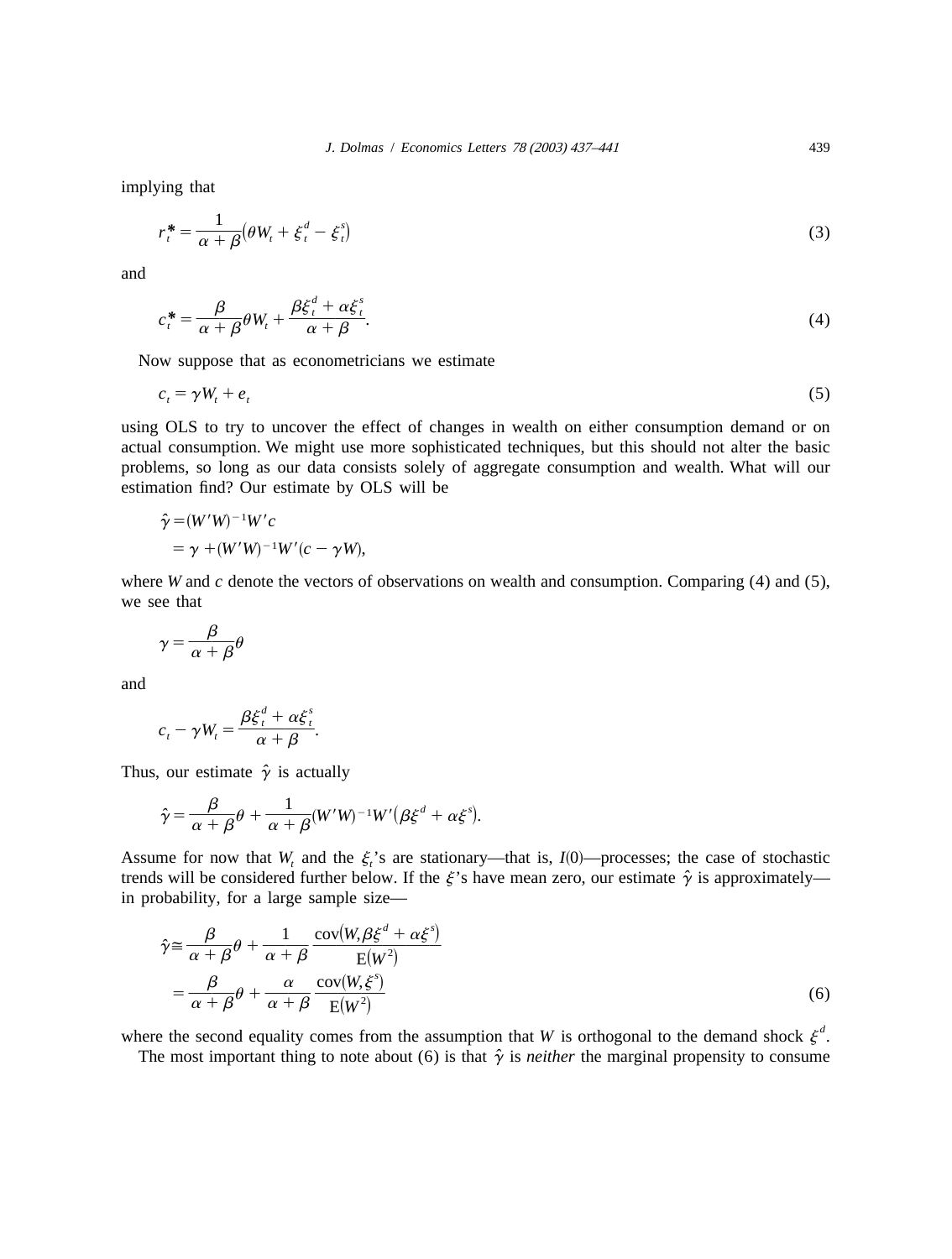implying that

$$
r_t^* = \frac{1}{\alpha + \beta} (\theta W_t + \xi_t^d - \xi_t^s)
$$
\n(3)

and

$$
c_t^* = \frac{\beta}{\alpha + \beta} \theta W_t + \frac{\beta \xi_t^d + \alpha \xi_t^s}{\alpha + \beta}.
$$
\n(4)

Now suppose that as econometricians we estimate

$$
c_t = \gamma W_t + e_t \tag{5}
$$

using OLS to try to uncover the effect of changes in wealth on either consumption demand or on actual consumption. We might use more sophisticated techniques, but this should not alter the basic problems, so long as our data consists solely of aggregate consumption and wealth. What will our estimation find? Our estimate by OLS will be

$$
\hat{\gamma} = (W'W)^{-1}W'c
$$
  
=  $\gamma + (W'W)^{-1}W'(c - \gamma W),$ 

where *W* and *c* denote the vectors of observations on wealth and consumption. Comparing  $(4)$  and  $(5)$ , we see that

$$
\gamma = \frac{\beta}{\alpha + \beta} \theta
$$

and

$$
c_t - \gamma W_t = \frac{\beta \xi_t^d + \alpha \xi_t^s}{\alpha + \beta}.
$$

Thus, our estimate  $\hat{\gamma}$  is actually

$$
\hat{\gamma} = \frac{\beta}{\alpha + \beta} \theta + \frac{1}{\alpha + \beta} (W'W)^{-1}W'(\beta \xi^d + \alpha \xi^s).
$$

Assume for now that  $W_t$  and the  $\xi_t$ 's are stationary—that is,  $I(0)$ —processes; the case of stochastic trends will be considered further below. If the  $\xi$ 's have mean zero, our estimate  $\hat{\gamma}$  is approximately in probability, for a large sample size—

$$
\hat{\gamma} \approx \frac{\beta}{\alpha + \beta} \theta + \frac{1}{\alpha + \beta} \frac{\text{cov}(W, \beta \xi^d + \alpha \xi^s)}{\text{E}(W^2)} \n= \frac{\beta}{\alpha + \beta} \theta + \frac{\alpha}{\alpha + \beta} \frac{\text{cov}(W, \xi^s)}{\text{E}(W^2)} \tag{6}
$$

where the second equality comes from the assumption that *W* is orthogonal to the demand shock  $\xi^a$ .

The most important thing to note about (6) is that  $\hat{\gamma}$  is *neither* the marginal propensity to consume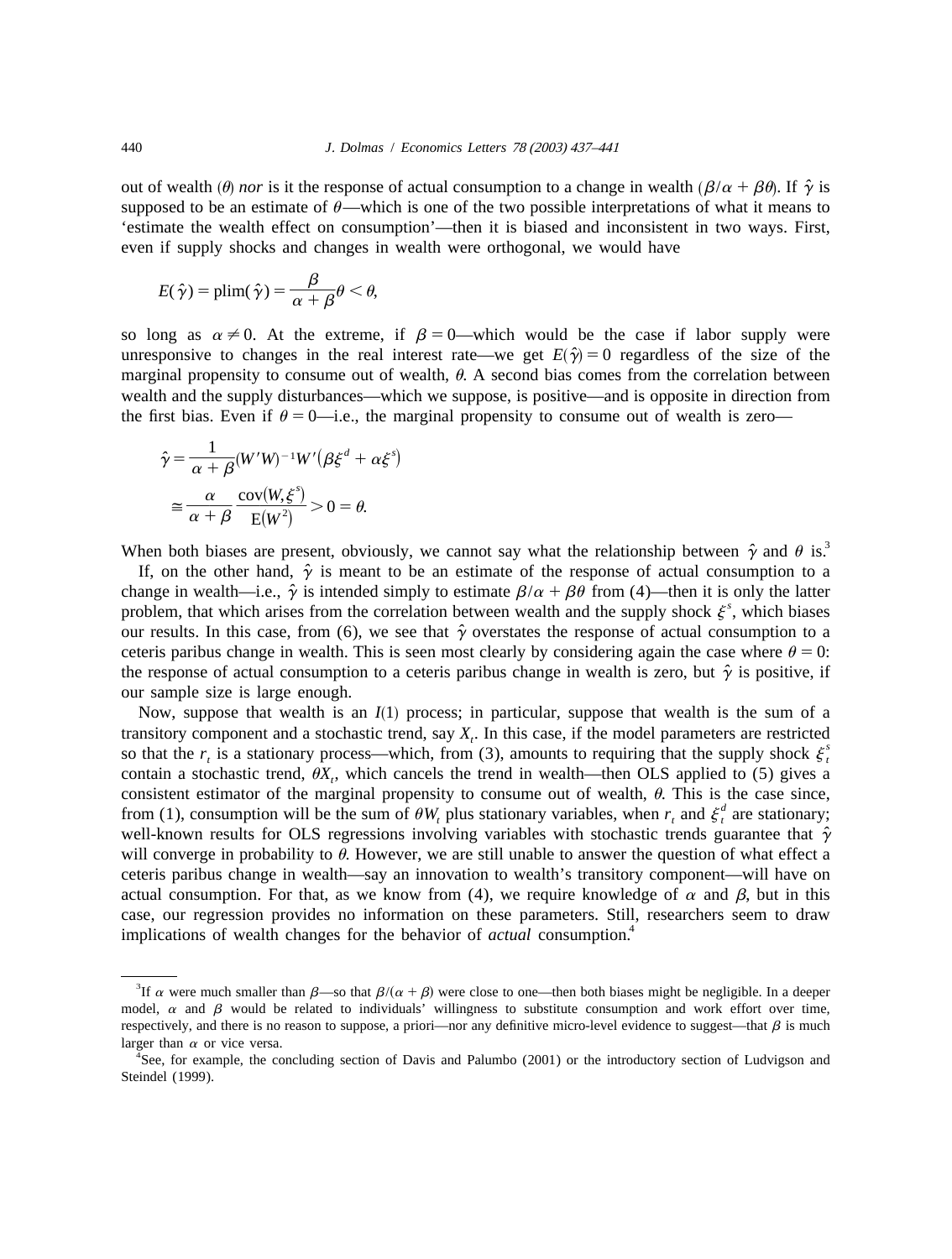out of wealth  $(\theta)$  *nor* is it the response of actual consumption to a change in wealth  $(\beta/\alpha + \beta\theta)$ . If  $\hat{\gamma}$  is supposed to be an estimate of  $\theta$ —which is one of the two possible interpretations of what it means to 'estimate the wealth effect on consumption'—then it is biased and inconsistent in two ways. First, even if supply shocks and changes in wealth were orthogonal, we would have

$$
E(\hat{\gamma}) = \text{plim}(\hat{\gamma}) = \frac{\beta}{\alpha + \beta} \theta < \theta,
$$

so long as  $\alpha \neq 0$ . At the extreme, if  $\beta = 0$ —which would be the case if labor supply were unresponsive to changes in the real interest rate—we get  $E(\hat{y}) = 0$  regardless of the size of the marginal propensity to consume out of wealth,  $\theta$ . A second bias comes from the correlation between wealth and the supply disturbances—which we suppose, is positive—and is opposite in direction from the first bias. Even if  $\theta = 0$ —i.e., the marginal propensity to consume out of wealth is zero—

$$
\hat{\gamma} = \frac{1}{\alpha + \beta} (W'W)^{-1}W'(\beta \xi^d + \alpha \xi^s)
$$

$$
\approx \frac{\alpha}{\alpha + \beta} \frac{\text{cov}(W, \xi^s)}{\text{E}(W^2)} > 0 = \theta.
$$

When both biases are present, obviously, we cannot say what the relationship between  $\hat{\gamma}$  and  $\theta$  is.<sup>3</sup>

If, on the other hand,  $\hat{y}$  is meant to be an estimate of the response of actual consumption to a change in wealth—i.e.,  $\hat{\gamma}$  is intended simply to estimate  $\beta/\alpha + \beta\theta$  from (4)—then it is only the latter problem, that which arises from the correlation between wealth and the supply shock  $\xi^s$ , which biases our results. In this case, from (6), we see that  $\hat{\gamma}$  overstates the response of actual consumption to a ceteris paribus change in wealth. This is seen most clearly by considering again the case where  $\theta = 0$ : the response of actual consumption to a ceteris paribus change in wealth is zero, but  $\hat{\gamma}$  is positive, if our sample size is large enough.

Now, suppose that wealth is an  $I(1)$  process; in particular, suppose that wealth is the sum of a transitory component and a stochastic trend, say  $X_t$ . In this case, if the model parameters are restricted<br>so that the  $r_t$  is a stationary process—which, from (3), amounts to requiring that the supply shock  $\xi_t^s$ contain a stochastic trend,  $\theta X$ , which cancels the trend in wealth—then OLS applied to (5) gives a consistent estimator of the marginal propensity to consume out of wealth,  $\theta$ . This is the case since, from (1), consumption will be the sum of  $\theta W_t$  plus stationary variables, when  $r_t$  and  $\xi_t^d$  are stationary; well-known results for OLS regressions involving variables with stochastic trends guarantee that  $\hat{\gamma}$ will converge in probability to  $\theta$ . However, we are still unable to answer the question of what effect a ceteris paribus change in wealth—say an innovation to wealth's transitory component—will have on actual consumption. For that, as we know from (4), we require knowledge of  $\alpha$  and  $\beta$ , but in this case, our regression provides no information on these parameters. Still, researchers seem to draw implications of wealth changes for the behavior of *actual* consumption.<sup>4</sup>

<sup>&</sup>lt;sup>3</sup>If  $\alpha$  were much smaller than  $\beta$ —so that  $\beta/(\alpha + \beta)$  were close to one—then both biases might be negligible. In a deeper model,  $\alpha$  and  $\beta$  would be related to individuals' willingness to substitute consumption and work effort over time, respectively, and there is no reason to suppose, a priori—nor any definitive micro-level evidence to suggest—that  $\beta$  is much larger than  $\alpha$  or vice versa.

See, for example, the concluding section of Davis and Palumbo (2001) or the introductory section of Ludvigson and Steindel (1999).